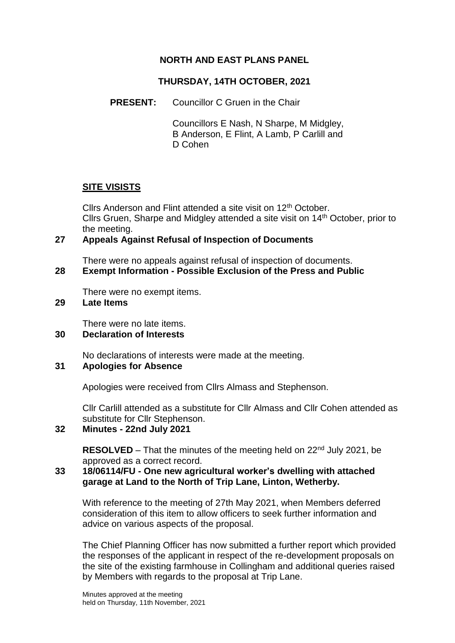# **NORTH AND EAST PLANS PANEL**

## **THURSDAY, 14TH OCTOBER, 2021**

**PRESENT:** Councillor C Gruen in the Chair

Councillors E Nash, N Sharpe, M Midgley, B Anderson, E Flint, A Lamb, P Carlill and D Cohen

### **SITE VISISTS**

Cllrs Anderson and Flint attended a site visit on 12<sup>th</sup> October. Cllrs Gruen, Sharpe and Midgley attended a site visit on 14th October, prior to the meeting.

### **27 Appeals Against Refusal of Inspection of Documents**

There were no appeals against refusal of inspection of documents.

# **28 Exempt Information - Possible Exclusion of the Press and Public**

There were no exempt items.

#### **29 Late Items**

There were no late items.

#### **30 Declaration of Interests**

No declarations of interests were made at the meeting.

#### **31 Apologies for Absence**

Apologies were received from Cllrs Almass and Stephenson.

Cllr Carlill attended as a substitute for Cllr Almass and Cllr Cohen attended as substitute for Cllr Stephenson.

#### **32 Minutes - 22nd July 2021**

**RESOLVED** – That the minutes of the meeting held on 22<sup>nd</sup> July 2021, be approved as a correct record.

# **33 18/06114/FU - One new agricultural worker's dwelling with attached garage at Land to the North of Trip Lane, Linton, Wetherby.**

With reference to the meeting of 27th May 2021, when Members deferred consideration of this item to allow officers to seek further information and advice on various aspects of the proposal.

The Chief Planning Officer has now submitted a further report which provided the responses of the applicant in respect of the re-development proposals on the site of the existing farmhouse in Collingham and additional queries raised by Members with regards to the proposal at Trip Lane.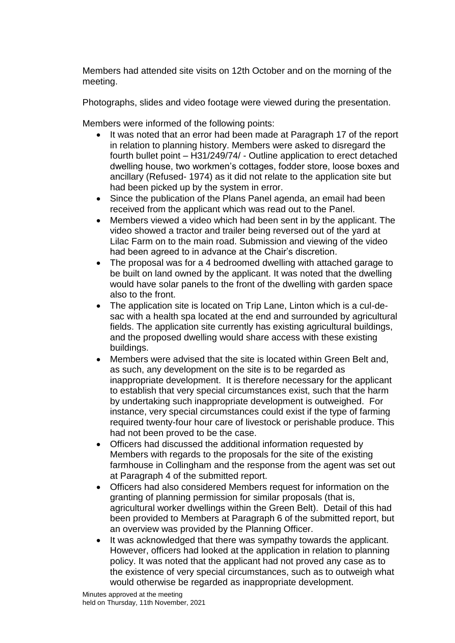Members had attended site visits on 12th October and on the morning of the meeting.

Photographs, slides and video footage were viewed during the presentation.

Members were informed of the following points:

- It was noted that an error had been made at Paragraph 17 of the report in relation to planning history. Members were asked to disregard the fourth bullet point – H31/249/74/ - Outline application to erect detached dwelling house, two workmen's cottages, fodder store, loose boxes and ancillary (Refused- 1974) as it did not relate to the application site but had been picked up by the system in error.
- Since the publication of the Plans Panel agenda, an email had been received from the applicant which was read out to the Panel.
- Members viewed a video which had been sent in by the applicant. The video showed a tractor and trailer being reversed out of the yard at Lilac Farm on to the main road. Submission and viewing of the video had been agreed to in advance at the Chair's discretion.
- The proposal was for a 4 bedroomed dwelling with attached garage to be built on land owned by the applicant. It was noted that the dwelling would have solar panels to the front of the dwelling with garden space also to the front.
- The application site is located on Trip Lane, Linton which is a cul-desac with a health spa located at the end and surrounded by agricultural fields. The application site currently has existing agricultural buildings, and the proposed dwelling would share access with these existing buildings.
- Members were advised that the site is located within Green Belt and, as such, any development on the site is to be regarded as inappropriate development. It is therefore necessary for the applicant to establish that very special circumstances exist, such that the harm by undertaking such inappropriate development is outweighed. For instance, very special circumstances could exist if the type of farming required twenty-four hour care of livestock or perishable produce. This had not been proved to be the case.
- Officers had discussed the additional information requested by Members with regards to the proposals for the site of the existing farmhouse in Collingham and the response from the agent was set out at Paragraph 4 of the submitted report.
- Officers had also considered Members request for information on the granting of planning permission for similar proposals (that is, agricultural worker dwellings within the Green Belt). Detail of this had been provided to Members at Paragraph 6 of the submitted report, but an overview was provided by the Planning Officer.
- It was acknowledged that there was sympathy towards the applicant. However, officers had looked at the application in relation to planning policy. It was noted that the applicant had not proved any case as to the existence of very special circumstances, such as to outweigh what would otherwise be regarded as inappropriate development.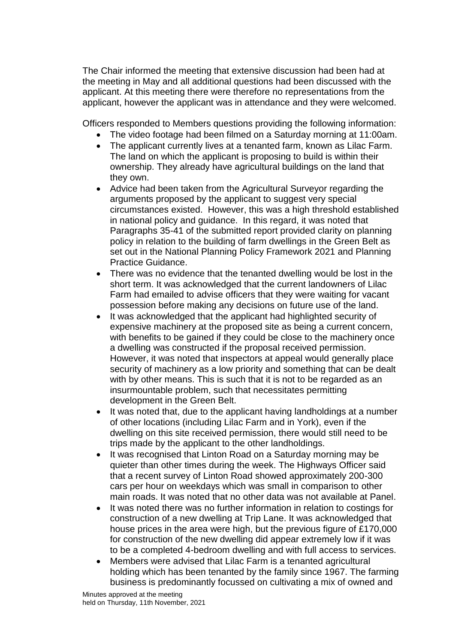The Chair informed the meeting that extensive discussion had been had at the meeting in May and all additional questions had been discussed with the applicant. At this meeting there were therefore no representations from the applicant, however the applicant was in attendance and they were welcomed.

Officers responded to Members questions providing the following information:

- The video footage had been filmed on a Saturday morning at 11:00am.
- The applicant currently lives at a tenanted farm, known as Lilac Farm. The land on which the applicant is proposing to build is within their ownership. They already have agricultural buildings on the land that they own.
- Advice had been taken from the Agricultural Surveyor regarding the arguments proposed by the applicant to suggest very special circumstances existed. However, this was a high threshold established in national policy and guidance. In this regard, it was noted that Paragraphs 35-41 of the submitted report provided clarity on planning policy in relation to the building of farm dwellings in the Green Belt as set out in the National Planning Policy Framework 2021 and Planning Practice Guidance.
- There was no evidence that the tenanted dwelling would be lost in the short term. It was acknowledged that the current landowners of Lilac Farm had emailed to advise officers that they were waiting for vacant possession before making any decisions on future use of the land.
- It was acknowledged that the applicant had highlighted security of expensive machinery at the proposed site as being a current concern, with benefits to be gained if they could be close to the machinery once a dwelling was constructed if the proposal received permission. However, it was noted that inspectors at appeal would generally place security of machinery as a low priority and something that can be dealt with by other means. This is such that it is not to be regarded as an insurmountable problem, such that necessitates permitting development in the Green Belt.
- It was noted that, due to the applicant having landholdings at a number of other locations (including Lilac Farm and in York), even if the dwelling on this site received permission, there would still need to be trips made by the applicant to the other landholdings.
- It was recognised that Linton Road on a Saturday morning may be quieter than other times during the week. The Highways Officer said that a recent survey of Linton Road showed approximately 200-300 cars per hour on weekdays which was small in comparison to other main roads. It was noted that no other data was not available at Panel.
- It was noted there was no further information in relation to costings for construction of a new dwelling at Trip Lane. It was acknowledged that house prices in the area were high, but the previous figure of £170,000 for construction of the new dwelling did appear extremely low if it was to be a completed 4-bedroom dwelling and with full access to services.
- Members were advised that Lilac Farm is a tenanted agricultural holding which has been tenanted by the family since 1967. The farming business is predominantly focussed on cultivating a mix of owned and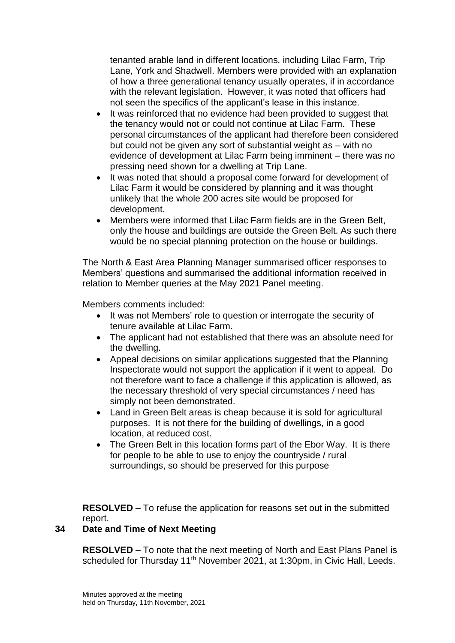tenanted arable land in different locations, including Lilac Farm, Trip Lane, York and Shadwell. Members were provided with an explanation of how a three generational tenancy usually operates, if in accordance with the relevant legislation. However, it was noted that officers had not seen the specifics of the applicant's lease in this instance.

- It was reinforced that no evidence had been provided to suggest that the tenancy would not or could not continue at Lilac Farm. These personal circumstances of the applicant had therefore been considered but could not be given any sort of substantial weight as – with no evidence of development at Lilac Farm being imminent – there was no pressing need shown for a dwelling at Trip Lane.
- It was noted that should a proposal come forward for development of Lilac Farm it would be considered by planning and it was thought unlikely that the whole 200 acres site would be proposed for development.
- Members were informed that Lilac Farm fields are in the Green Belt, only the house and buildings are outside the Green Belt. As such there would be no special planning protection on the house or buildings.

The North & East Area Planning Manager summarised officer responses to Members' questions and summarised the additional information received in relation to Member queries at the May 2021 Panel meeting.

Members comments included:

- It was not Members' role to question or interrogate the security of tenure available at Lilac Farm.
- The applicant had not established that there was an absolute need for the dwelling.
- Appeal decisions on similar applications suggested that the Planning Inspectorate would not support the application if it went to appeal. Do not therefore want to face a challenge if this application is allowed, as the necessary threshold of very special circumstances / need has simply not been demonstrated.
- Land in Green Belt areas is cheap because it is sold for agricultural purposes. It is not there for the building of dwellings, in a good location, at reduced cost.
- The Green Belt in this location forms part of the Ebor Way. It is there for people to be able to use to enjoy the countryside / rural surroundings, so should be preserved for this purpose

**RESOLVED** – To refuse the application for reasons set out in the submitted report.

# **34 Date and Time of Next Meeting**

**RESOLVED** – To note that the next meeting of North and East Plans Panel is scheduled for Thursday 11<sup>th</sup> November 2021, at 1:30pm, in Civic Hall, Leeds.